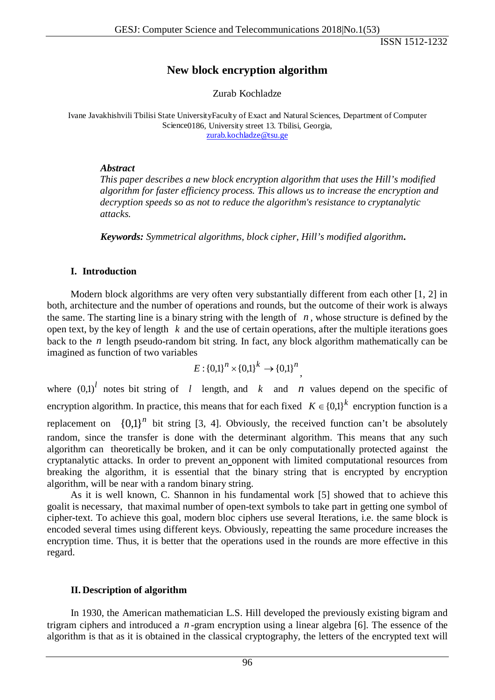# **New block encryption algorithm**

Zurab Kochladze

Ivane Javakhishvili Tbilisi State UniversityFaculty of Exact and Natural Sciences, Department of Computer Science0186, University street 13. Tbilisi, Georgia, [zurab.kochladze@tsu.ge](mailto:zurab.kochladze@tsu.ge)

### *Abstract*

*This paper describes a new block encryption algorithm that uses the Hill's modified algorithm for faster efficiency process. This allows us to increase the encryption and decryption speeds so as not to reduce the algorithm's resistance to cryptanalytic attacks.*

*Keywords: Symmetrical algorithms, block cipher, Hill's modified algorithm***.**

## **I. Introduction**

Modern block algorithms are very often very substantially different from each other [1, 2] in both, architecture and the number of operations and rounds, but the outcome of their work is always the same. The starting line is a binary string with the length of  $n$ , whose structure is defined by the open text, by the key of length *k* and the use of certain operations, after the multiple iterations goes back to the *n* length pseudo-random bit string. In fact, any block algorithm mathematically can be imagined as function of two variables

$$
E: \{0,1\}^n \times \{0,1\}^k \to \{0,1\}^n
$$

where  $(0,1)^l$  notes bit string of *l* length, and *k* and *n* values depend on the specific of encryption algorithm. In practice, this means that for each fixed  $K \in \{0,1\}^k$  encryption function is a replacement on  ${0,1}^n$  bit string [3, 4]. Obviously, the received function can't be absolutely random, since the transfer is done with the determinant algorithm. This means that any such algorithm can theoretically be broken, and it can be only computationally protected against the cryptanalytic attacks. In order to prevent an opponent with limited computational resources from breaking the algorithm, it is essential that the binary string that is encrypted by encryption algorithm, will be near with a random binary string.

As it is well known, C. Shannon in his fundamental work [5] showed that to achieve this goalit is necessary, that maximal number of open-text symbols to take part in getting one symbol of cipher-text. To achieve this goal, modern bloc ciphers use several Iterations, i.e. the same block is encoded several times using different keys. Obviously, repeatting the same procedure increases the encryption time. Thus, it is better that the operations used in the rounds are more effective in this regard.

## **II. Description of algorithm**

In 1930, the American mathematician L.S. Hill developed the previously existing bigram and trigram ciphers and introduced a *n* -gram encryption using a linear algebra [6]. The essence of the algorithm is that as it is obtained in the classical cryptography, the letters of the encrypted text will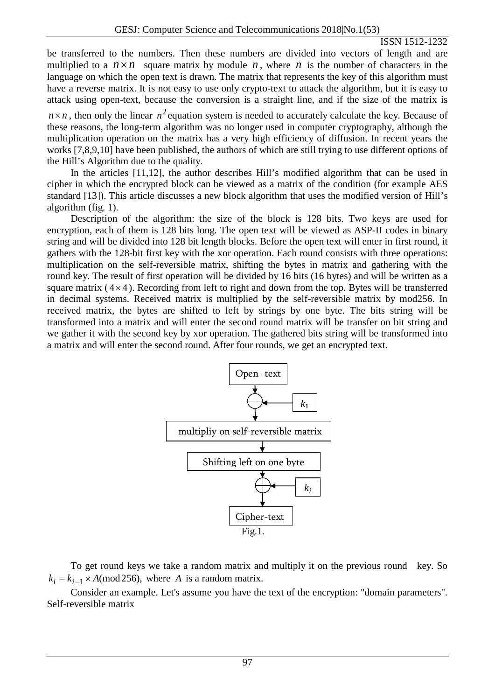be transferred to the numbers. Then these numbers are divided into vectors of length and are multiplied to a  $n \times n$  square matrix by module *n*, where *n* is the number of characters in the language on which the open text is drawn. The matrix that represents the key of this algorithm must have a reverse matrix. It is not easy to use only crypto-text to attack the algorithm, but it is easy to attack using open-text, because the conversion is a straight line, and if the size of the matrix is

 $n \times n$ , then only the linear  $n^2$  equation system is needed to accurately calculate the key. Because of these reasons, the long-term algorithm was no longer used in computer cryptography, although the multiplication operation on the matrix has a very high efficiency of diffusion. In recent years the works [7,8,9,10] have been published, the authors of which are still trying to use different options of the Hill's Algorithm due to the quality.

In the articles [11,12], the author describes Hill's modified algorithm that can be used in cipher in which the encrypted block can be viewed as a matrix of the condition (for example AES standard [13]). This article discusses a new block algorithm that uses the modified version of Hill's algorithm (fig. 1).

Description of the algorithm: the size of the block is 128 bits. Two keys are used for encryption, each of them is 128 bits long. The open text will be viewed as ASP-II codes in binary string and will be divided into 128 bit length blocks. Before the open text will enter in first round, it gathers with the 128-bit first key with the xor operation. Each round consists with three operations: multiplication on the self-reversible matrix, shifting the bytes in matrix and gathering with the round key. The result of first operation will be divided by 16 bits (16 bytes) and will be written as a square matrix  $(4\times4)$ . Recording from left to right and down from the top. Bytes will be transferred in decimal systems. Received matrix is multiplied by the self-reversible matrix by mod256. In received matrix, the bytes are shifted to left by strings by one byte. The bits string will be transformed into a matrix and will enter the second round matrix will be transfer on bit string and we gather it with the second key by xor operation. The gathered bits string will be transformed into a matrix and will enter the second round. After four rounds, we get an encrypted text.



To get round keys we take a random matrix and multiply it on the previous round key. So  $k_i = k_{i-1} \times A \pmod{256}$ , where *A* is a random matrix.

Consider an example. Let's assume you have the text of the encryption: "domain parameters". Self-reversible matrix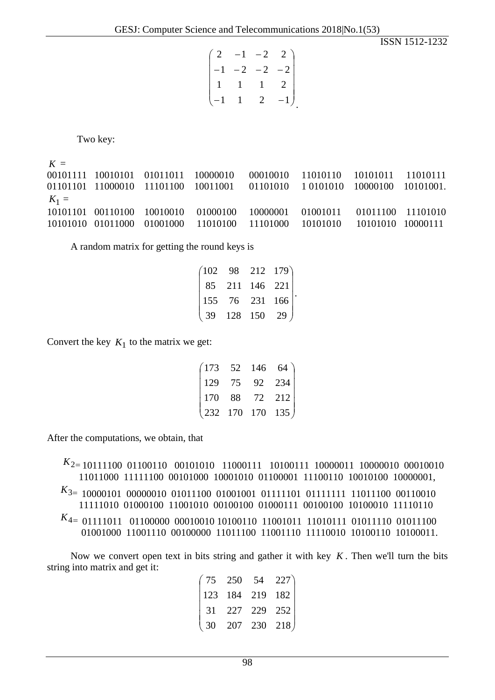|                |             | $\begin{pmatrix} 2 & -1 & -2 & 2 \end{pmatrix}$ |      |
|----------------|-------------|-------------------------------------------------|------|
|                |             | $-2$ $-2$ $-2$                                  |      |
|                | $1 \quad 1$ | $\sim$ 1                                        | 2    |
| $\setminus -1$ |             | 2                                               | $-1$ |

Two key:

 $K =$ 00101111 10010101 01011011 10000010 00010010 11010110 10101011 11010111 01101101 11000010 11101100 10011001 01101010 1 0101010 10000100 10101001.  $K_1 =$ 10101101 00110100 10010010 01000100 10000001 01001011 01011100 11101010 10101010 01011000 01001000 11010100 11101000 10101010 10101010 10000111

A random matrix for getting the round keys is

29  $\overline{\phantom{a}}$  $\overline{\phantom{a}}$  $\overline{\phantom{a}}$  $\overline{\phantom{a}}$ J 102 98 212 179  $\mathsf{I}$  $\mathsf{I}$  $\mathbf{r}$  $\mathbf{I}$  $\mathsf{I}$  $\setminus$ ſ 128 150 155 76 231 166 85 211 146 221 .

Convert the key  $K_1$  to the matrix we get:

| $(173 \t 52 \t 146 \t 64)$                            |  |          |
|-------------------------------------------------------|--|----------|
| $\begin{vmatrix} 129 & 75 \end{vmatrix}$              |  | 92 $234$ |
| $\begin{vmatrix} 170 & 88 & 72 & 212 \end{vmatrix}$   |  |          |
| $\begin{pmatrix} 232 & 170 & 170 & 135 \end{pmatrix}$ |  |          |

After the computations, we obtain, that

*K*2<sup>=</sup> 10111100 01100110 00101010 11000111 10100111 10000011 10000010 00010010 11011000 11111100 00101000 10001010 01100001 11100110 10010100 10000001, *K*3<sup>=</sup> 10000101 00000010 01011100 01001001 01111101 01111111 11011100 00110010 11111010 01000100 11001010 00100100 01000111 00100100 10100010 11110110 *K*4<sup>=</sup> 01111011 01100000 00010010 10100110 11001011 11010111 01011110 01011100 01001000 11001110 00100000 11011100 11001110 11110010 10100110 10100011.

Now we convert open text in bits string and gather it with key *K* . Then we'll turn the bits string into matrix and get it:

|  |  | $(75 \t250 \t54 \t227)$  |
|--|--|--------------------------|
|  |  | 123 184 219 182          |
|  |  | 31 227 229 252           |
|  |  | $(30 \t207 \t230 \t218)$ |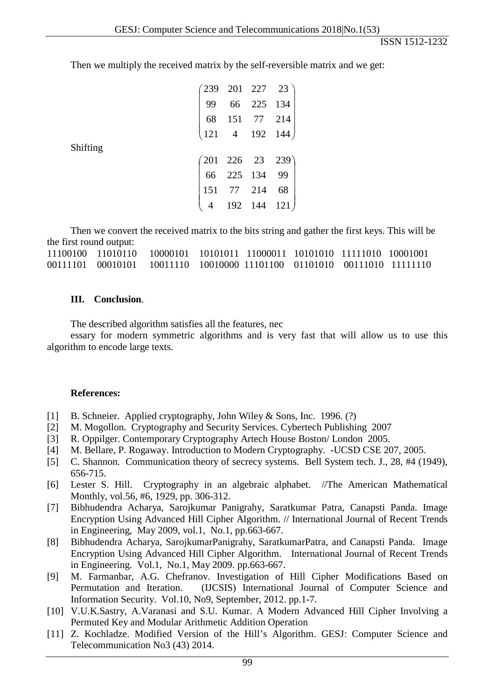Then we multiply the received matrix by the self-reversible matrix and we get:

|          |  | $\begin{pmatrix} 239 & 201 & 227 & 23 \\ 99 & 66 & 225 & 134 \\ 68 & 151 & 77 & 214 \\ 121 & 4 & 192 & 144 \end{pmatrix}$ |
|----------|--|---------------------------------------------------------------------------------------------------------------------------|
|          |  |                                                                                                                           |
|          |  |                                                                                                                           |
| Shifting |  |                                                                                                                           |
|          |  |                                                                                                                           |
|          |  |                                                                                                                           |
|          |  |                                                                                                                           |
|          |  | $\begin{pmatrix} 201 & 226 & 23 & 239 \\ 66 & 225 & 134 & 99 \\ 151 & 77 & 214 & 68 \\ 4 & 192 & 144 & 121 \end{pmatrix}$ |
|          |  |                                                                                                                           |

Then we convert the received matrix to the bits string and gather the first keys. This will be the first round output:

### **III. Conclusion**.

The described algorithm satisfies all the features, nec

essary for modern symmetric algorithms and is very fast that will allow us to use this algorithm to encode large texts.

#### **References:**

- [1] B. Schneier. Applied cryptography, John Wiley & Sons, Inc. 1996. (?)
- [2] M. Mogollon. Cryptography and Security Services. Cybertech Publishing 2007
- [3] R. Oppilger. Contemporary Cryptography Artech House Boston/ London 2005.
- [4] M. Bellare, P. Rogaway. Introduction to Modern Cryptography. -UCSD CSE 207, 2005.
- [5] C. Shannon. Communication theory of secrecy systems. Bell System tech. J., 28, #4 (1949), 656-715.
- [6] Lester S. Hill. Cryptography in an algebraic alphabet. //The American Mathematical Monthly, vol.56, #6, 1929, pp. 306-312.
- [7] Bibhudendra Acharya, Sarojkumar Panigrahy, Saratkumar Patra, Canapsti Panda. Image Encryption Using Advanced Hill Cipher Algorithm. // International Journal of Recent Trends in Engineering, May 2009, vol.1, No.1, pp.663-667.
- [8] Bibhudendra Acharya, SarojkumarPanigrahy, SaratkumarPatra, and Canapsti Panda. Image Encryption Using Advanced Hill Cipher Algorithm. International Journal of Recent Trends in Engineering. Vol.1, No.1, May 2009. pp.663-667.
- [9] M. Farmanbar, A.G. Chefranov. Investigation of Hill Cipher Modifications Based on Permutation and Iteration. (IJCSIS) International Journal of Computer Science and Information Security. Vol.10, No9, September, 2012. pp.1-7.
- [10] V.U.K.Sastry, A.Varanasi and S.U. Kumar. A Modern Advanced Hill Cipher Involving a Permuted Key and Modular Arithmetic Addition Operation
- [11] Z. Kochladze. Modified Version of the Hill's Algorithm. GESJ: Computer Science and Telecommunication No3 (43) 2014.